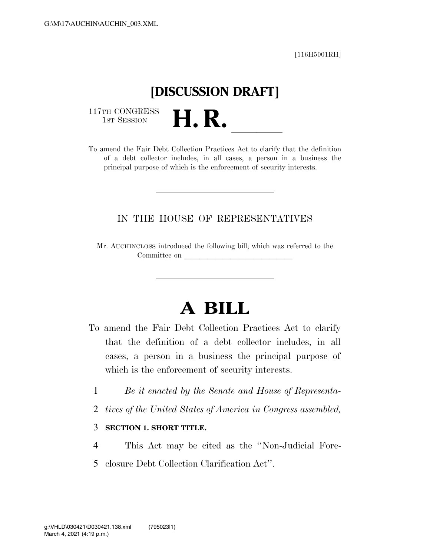[116H5001RH]

# **[DISCUSSION DRAFT]**

117TH CONGRESS<br>1st Session

117TH CONGRESS<br>1st SESSION **H. R.** <u>Internative and</u> the Fair Debt Collection Practices Act to clarify that the definition of a debt collector includes, in all cases, a person in a business the principal purpose of which is the enforcement of security interests.

### IN THE HOUSE OF REPRESENTATIVES

Mr. AUCHINCLOSS introduced the following bill; which was referred to the Committee on

## **A BILL**

- To amend the Fair Debt Collection Practices Act to clarify that the definition of a debt collector includes, in all cases, a person in a business the principal purpose of which is the enforcement of security interests.
	- 1 *Be it enacted by the Senate and House of Representa-*
	- 2 *tives of the United States of America in Congress assembled,*

#### 3 **SECTION 1. SHORT TITLE.**

- 4 This Act may be cited as the ''Non-Judicial Fore-
- 5 closure Debt Collection Clarification Act''.